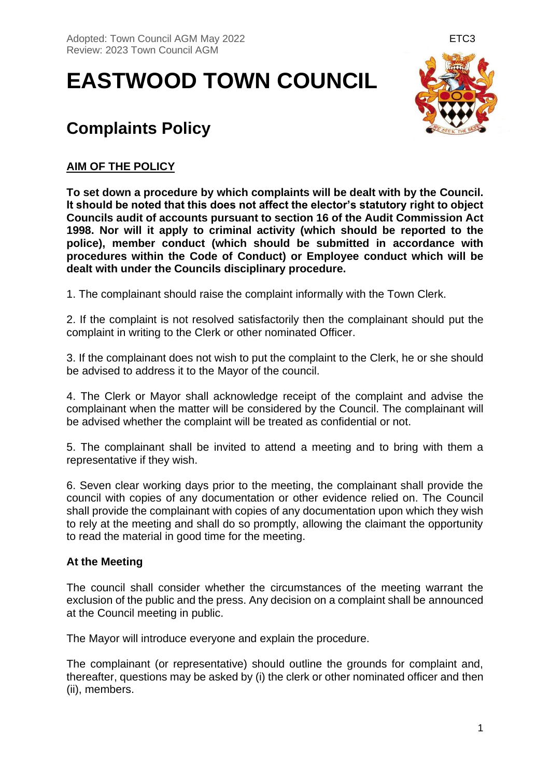# **EASTWOOD TOWN COUNCIL**



## **Complaints Policy**

### **AIM OF THE POLICY**

**To set down a procedure by which complaints will be dealt with by the Council. It should be noted that this does not affect the elector's statutory right to object Councils audit of accounts pursuant to section 16 of the Audit Commission Act 1998. Nor will it apply to criminal activity (which should be reported to the police), member conduct (which should be submitted in accordance with procedures within the Code of Conduct) or Employee conduct which will be dealt with under the Councils disciplinary procedure.**

1. The complainant should raise the complaint informally with the Town Clerk.

2. If the complaint is not resolved satisfactorily then the complainant should put the complaint in writing to the Clerk or other nominated Officer.

3. If the complainant does not wish to put the complaint to the Clerk, he or she should be advised to address it to the Mayor of the council.

4. The Clerk or Mayor shall acknowledge receipt of the complaint and advise the complainant when the matter will be considered by the Council. The complainant will be advised whether the complaint will be treated as confidential or not.

5. The complainant shall be invited to attend a meeting and to bring with them a representative if they wish.

6. Seven clear working days prior to the meeting, the complainant shall provide the council with copies of any documentation or other evidence relied on. The Council shall provide the complainant with copies of any documentation upon which they wish to rely at the meeting and shall do so promptly, allowing the claimant the opportunity to read the material in good time for the meeting.

#### **At the Meeting**

The council shall consider whether the circumstances of the meeting warrant the exclusion of the public and the press. Any decision on a complaint shall be announced at the Council meeting in public.

The Mayor will introduce everyone and explain the procedure.

The complainant (or representative) should outline the grounds for complaint and, thereafter, questions may be asked by (i) the clerk or other nominated officer and then (ii), members.